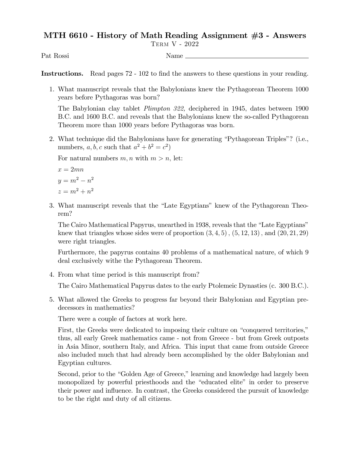## MTH 6610 - History of Math Reading Assignment #3 - Answers

Term V - 2022

Pat Rossi Name

Instructions. Read pages 72 - 102 to find the answers to these questions in your reading.

1. What manuscript reveals that the Babylonians knew the Pythagorean Theorem 1000 years before Pythagoras was born?

The Babylonian clay tablet Plimpton 322, deciphered in 1945, dates between 1900 B.C. and 1600 B.C. and reveals that the Babylonians knew the so-called Pythagorean Theorem more than 1000 years before Pythagoras was born.

2. What technique did the Babylonians have for generating "Pythagorean Triples"? (i.e., numbers, a, b, c such that  $a^2 + b^2 = c^2$ )

For natural numbers  $m, n$  with  $m > n$ , let:

$$
x = 2mn
$$

$$
y = m2 - n2
$$

$$
z = m2 + n2
$$

3. What manuscript reveals that the "Late Egyptians" knew of the Pythagorean Theorem?

The Cairo Mathematical Papyrus, unearthed in 1938, reveals that the "Late Egyptians" knew that triangles whose sides were of proportion  $(3, 4, 5)$ ,  $(5, 12, 13)$ , and  $(20, 21, 29)$ were right triangles.

Furthermore, the papyrus contains 40 problems of a mathematical nature, of which 9 deal exclusively withe the Pythagorean Theorem.

4. From what time period is this manuscript from?

The Cairo Mathematical Papyrus dates to the early Ptolemeic Dynasties (c. 300 B.C.).

5. What allowed the Greeks to progress far beyond their Babylonian and Egyptian predecessors in mathematics?

There were a couple of factors at work here.

First, the Greeks were dedicated to imposing their culture on "conquered territories," thus, all early Greek mathematics came - not from Greece - but from Greek outposts in Asia Minor, southern Italy, and Africa. This input that came from outside Greece also included much that had already been accomplished by the older Babylonian and Egyptian cultures.

Second, prior to the "Golden Age of Greece," learning and knowledge had largely been monopolized by powerful priesthoods and the "educated elite" in order to preserve their power and influence. In contrast, the Greeks considered the pursuit of knowledge to be the right and duty of all citizens.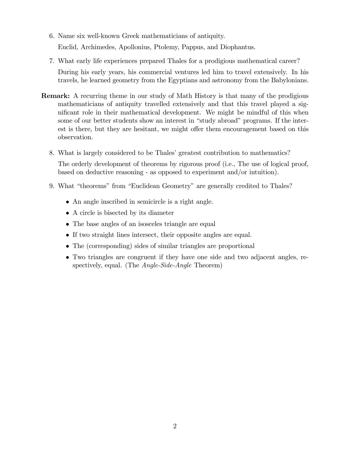- 6. Name six well-known Greek mathematicians of antiquity. Euclid, Archimedes, Apollonius, Ptolemy, Pappus, and Diophantus.
- 7. What early life experiences prepared Thales for a prodigious mathematical career? During his early years, his commercial ventures led him to travel extensively. In his travels, he learned geometry from the Egyptians and astronomy from the Babylonians.
- Remark: A recurring theme in our study of Math History is that many of the prodigious mathematicians of antiquity travelled extensively and that this travel played a significant role in their mathematical development. We might be mindful of this when some of our better students show an interest in "study abroad" programs. If the interest is there, but they are hesitant, we might offer them encouragement based on this observation.
	- 8. What is largely considered to be Thales' greatest contribution to mathematics?

The orderly development of theorems by rigorous proof (i.e., The use of logical proof, based on deductive reasoning - as opposed to experiment and/or intuition).

- 9. What "theorems" from "Euclidean Geometry" are generally credited to Thales?
	- An angle inscribed in semicircle is a right angle.
	- A circle is bisected by its diameter
	- The base angles of an isosceles triangle are equal
	- If two straight lines intersect, their opposite angles are equal.
	- The (corresponding) sides of similar triangles are proportional
	- Two triangles are congruent if they have one side and two adjacent angles, respectively, equal. (The *Angle-Side-Angle* Theorem)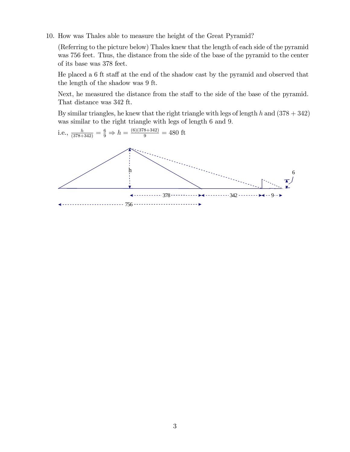10. How was Thales able to measure the height of the Great Pyramid?

(Referring to the picture below) Thales knew that the length of each side of the pyramid was 756 feet. Thus, the distance from the side of the base of the pyramid to the center of its base was 378 feet.

He placed a  $6$  ft staff at the end of the shadow cast by the pyramid and observed that the length of the shadow was 9 ft.

Next, he measured the distance from the staff to the side of the base of the pyramid. That distance was 342 ft.

By similar triangles, he knew that the right triangle with legs of length h and  $(378 + 342)$ was similar to the right triangle with legs of length 6 and 9.

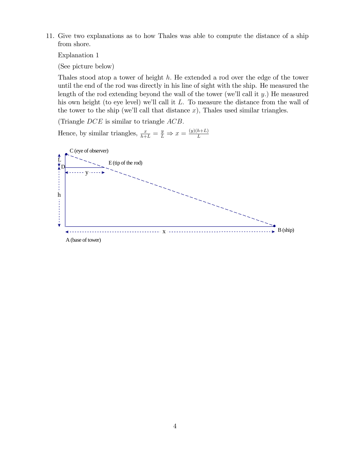11. Give two explanations as to how Thales was able to compute the distance of a ship from shore.

Explanation 1

(See picture below)

Thales stood atop a tower of height  $h$ . He extended a rod over the edge of the tower until the end of the rod was directly in his line of sight with the ship. He measured the length of the rod extending beyond the wall of the tower (we'll call it  $y$ .) He measured his own height (to eye level) we'll call it  $L$ . To measure the distance from the wall of the tower to the ship (we'll call that distance  $x$ ), Thales used similar triangles.

(Triangle  $DCE$  is similar to triangle  $ACB$ .

Hence, by similar triangles,  $\frac{x}{h+L} = \frac{y}{L} \Rightarrow x = \frac{(y)(h+L)}{L}$ L



A (base of tower)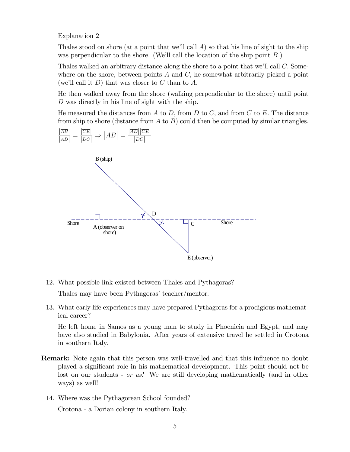Explanation 2

Thales stood on shore (at a point that we'll call  $\vec{A}$ ) so that his line of sight to the ship was perpendicular to the shore. (We'll call the location of the ship point  $B$ .)

Thales walked an arbitrary distance along the shore to a point that we'll call  $C$ . Somewhere on the shore, between points  $A$  and  $C$ , he somewhat arbitrarily picked a point (we'll call it  $D$ ) that was closer to C than to A.

He then walked away from the shore (walking perpendicular to the shore) until point D was directly in his line of sight with the ship.

He measured the distances from  $A$  to  $D$ , from  $D$  to  $C$ , and from  $C$  to  $E$ . The distance from ship to shore (distance from  $A$  to  $B$ ) could then be computed by similar triangles.





12. What possible link existed between Thales and Pythagoras?

Thales may have been Pythagoras' teacher/mentor.

13. What early life experiences may have prepared Pythagoras for a prodigious mathematical career?

He left home in Samos as a young man to study in Phoenicia and Egypt, and may have also studied in Babylonia. After years of extensive travel he settled in Crotona in southern Italy.

- **Remark:** Note again that this person was well-travelled and that this influence no doubt played a signiÖcant role in his mathematical development. This point should not be lost on our students - *or us!* We are still developing mathematically (and in other ways) as well!
	- 14. Where was the Pythagorean School founded?

Crotona - a Dorian colony in southern Italy.